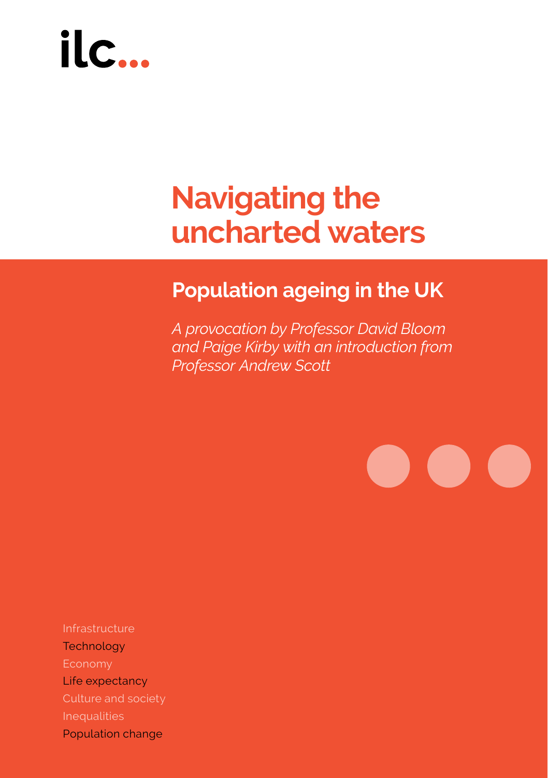# ilc.

## **Navigating the uncharted waters**

### **Population ageing in the UK**

*A provocation by Professor David Bloom and Paige Kirby with an introduction from Professor Andrew Scott*

 $\bullet$ 

**CONTRACTOR** 

 $\bullet$ 

Infrastructure **Technology** Economy Life expectancy Culture and society Inequalities

Population change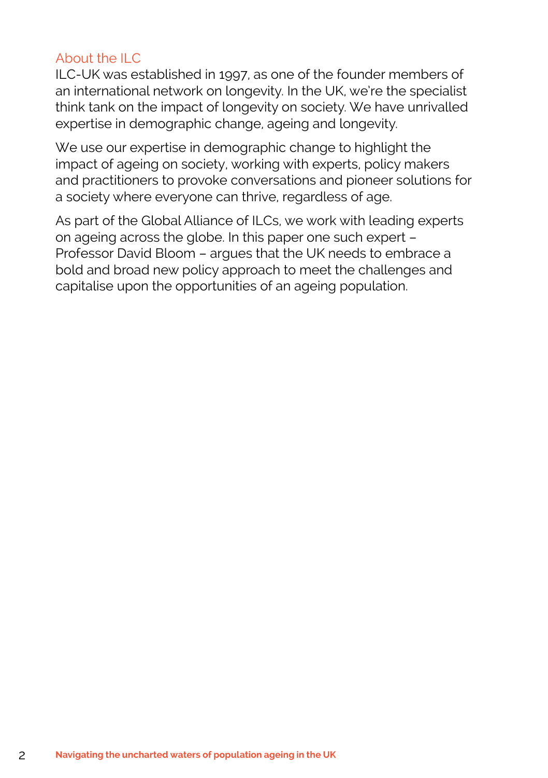#### About the ILC

ILC-UK was established in 1997, as one of the founder members of an international network on longevity. In the UK, we're the specialist think tank on the impact of longevity on society. We have unrivalled expertise in demographic change, ageing and longevity.

We use our expertise in demographic change to highlight the impact of ageing on society, working with experts, policy makers and practitioners to provoke conversations and pioneer solutions for a society where everyone can thrive, regardless of age.

As part of the Global Alliance of ILCs, we work with leading experts on ageing across the globe. In this paper one such expert – Professor David Bloom – argues that the UK needs to embrace a bold and broad new policy approach to meet the challenges and capitalise upon the opportunities of an ageing population.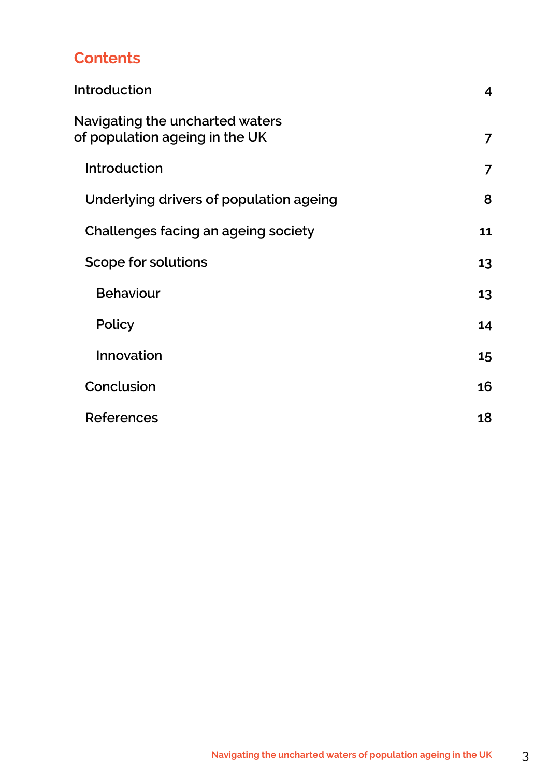#### **Contents**

| Introduction                                                      | 4  |
|-------------------------------------------------------------------|----|
| Navigating the uncharted waters<br>of population ageing in the UK | 7  |
| Introduction                                                      | 7  |
| Underlying drivers of population ageing                           | 8  |
| Challenges facing an ageing society                               | 11 |
| Scope for solutions                                               | 13 |
| <b>Behaviour</b>                                                  | 13 |
| Policy                                                            | 14 |
| Innovation                                                        | 15 |
| Conclusion                                                        | 16 |
| References                                                        | 18 |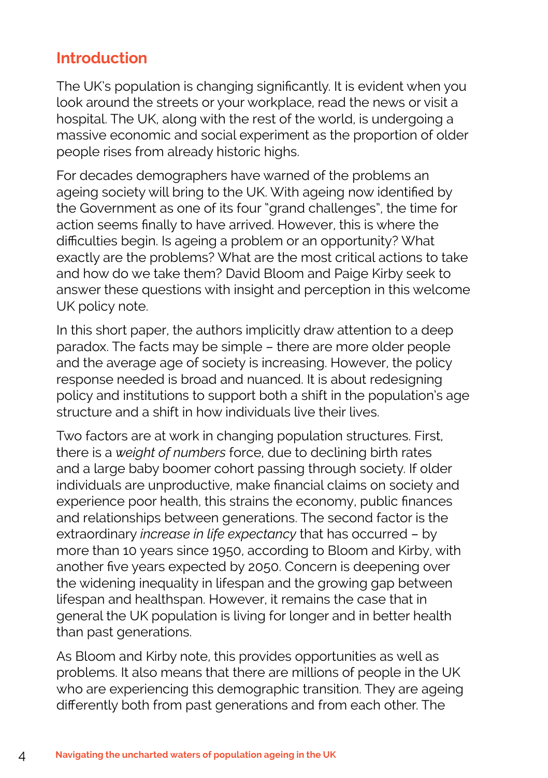#### **Introduction**

The UK's population is changing significantly. It is evident when you look around the streets or your workplace, read the news or visit a hospital. The UK, along with the rest of the world, is undergoing a massive economic and social experiment as the proportion of older people rises from already historic highs.

For decades demographers have warned of the problems an ageing society will bring to the UK. With ageing now identified by the Government as one of its four "grand challenges", the time for action seems finally to have arrived. However, this is where the difficulties begin. Is ageing a problem or an opportunity? What exactly are the problems? What are the most critical actions to take and how do we take them? David Bloom and Paige Kirby seek to answer these questions with insight and perception in this welcome UK policy note.

In this short paper, the authors implicitly draw attention to a deep paradox. The facts may be simple – there are more older people and the average age of society is increasing. However, the policy response needed is broad and nuanced. It is about redesigning policy and institutions to support both a shift in the population's age structure and a shift in how individuals live their lives.

Two factors are at work in changing population structures. First, there is a *weight of numbers* force, due to declining birth rates and a large baby boomer cohort passing through society. If older individuals are unproductive, make financial claims on society and experience poor health, this strains the economy, public finances and relationships between generations. The second factor is the extraordinary *increase in life expectancy* that has occurred – by more than 10 years since 1950, according to Bloom and Kirby, with another five years expected by 2050. Concern is deepening over the widening inequality in lifespan and the growing gap between lifespan and healthspan. However, it remains the case that in general the UK population is living for longer and in better health than past generations.

As Bloom and Kirby note, this provides opportunities as well as problems. It also means that there are millions of people in the UK who are experiencing this demographic transition. They are ageing differently both from past generations and from each other. The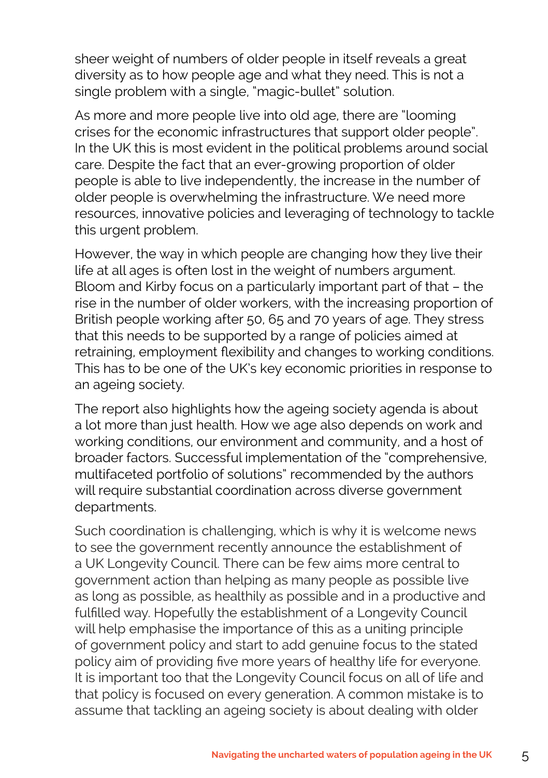sheer weight of numbers of older people in itself reveals a great diversity as to how people age and what they need. This is not a single problem with a single, "magic-bullet" solution.

As more and more people live into old age, there are "looming crises for the economic infrastructures that support older people". In the UK this is most evident in the political problems around social care. Despite the fact that an ever-growing proportion of older people is able to live independently, the increase in the number of older people is overwhelming the infrastructure. We need more resources, innovative policies and leveraging of technology to tackle this urgent problem.

However, the way in which people are changing how they live their life at all ages is often lost in the weight of numbers argument. Bloom and Kirby focus on a particularly important part of that – the rise in the number of older workers, with the increasing proportion of British people working after 50, 65 and 70 years of age. They stress that this needs to be supported by a range of policies aimed at retraining, employment flexibility and changes to working conditions. This has to be one of the UK's key economic priorities in response to an ageing society.

The report also highlights how the ageing society agenda is about a lot more than just health. How we age also depends on work and working conditions, our environment and community, and a host of broader factors. Successful implementation of the "comprehensive, multifaceted portfolio of solutions" recommended by the authors will require substantial coordination across diverse government departments.

Such coordination is challenging, which is why it is welcome news to see the government recently announce the establishment of a UK Longevity Council. There can be few aims more central to government action than helping as many people as possible live as long as possible, as healthily as possible and in a productive and fulfilled way. Hopefully the establishment of a Longevity Council will help emphasise the importance of this as a uniting principle of government policy and start to add genuine focus to the stated policy aim of providing five more years of healthy life for everyone. It is important too that the Longevity Council focus on all of life and that policy is focused on every generation. A common mistake is to assume that tackling an ageing society is about dealing with older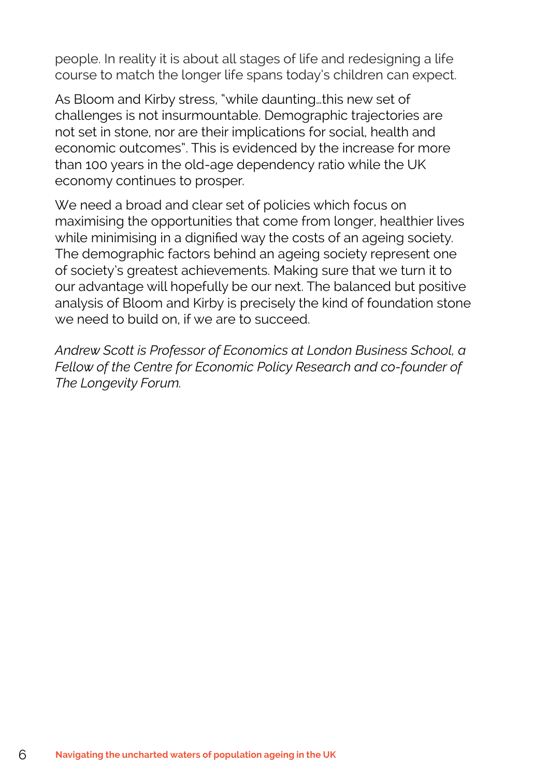people. In reality it is about all stages of life and redesigning a life course to match the longer life spans today's children can expect.

As Bloom and Kirby stress, "while daunting…this new set of challenges is not insurmountable. Demographic trajectories are not set in stone, nor are their implications for social, health and economic outcomes". This is evidenced by the increase for more than 100 years in the old-age dependency ratio while the UK economy continues to prosper.

We need a broad and clear set of policies which focus on maximising the opportunities that come from longer, healthier lives while minimising in a dignified way the costs of an ageing society. The demographic factors behind an ageing society represent one of society's greatest achievements. Making sure that we turn it to our advantage will hopefully be our next. The balanced but positive analysis of Bloom and Kirby is precisely the kind of foundation stone we need to build on, if we are to succeed.

*Andrew Scott is Professor of Economics at London Business School, a Fellow of the Centre for Economic Policy Research and co-founder of The Longevity Forum.*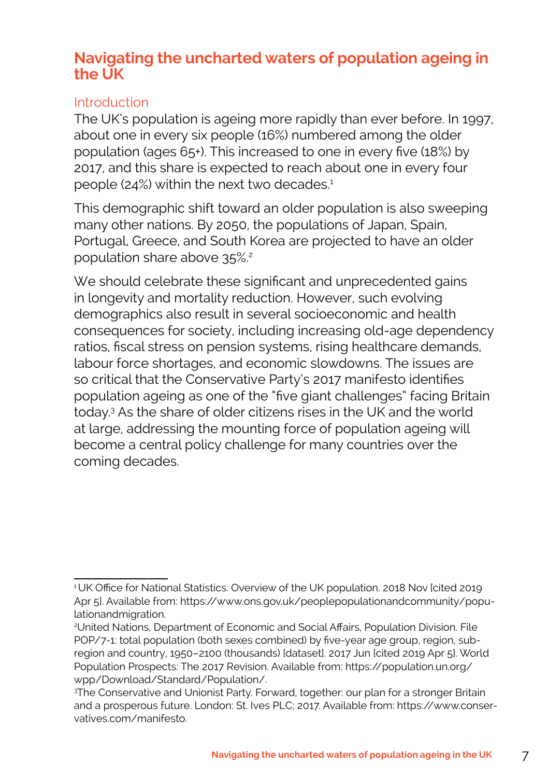#### **Navigating the uncharted waters of population ageing in the UK**

#### Introduction

The UK's population is ageing more rapidly than ever before. In 1997, about one in every six people (16%) numbered among the older population (ages 65+). This increased to one in every five (18%) by 2017, and this share is expected to reach about one in every four people (24%) within the next two decades.<sup>1</sup>

This demographic shift toward an older population is also sweeping many other nations. By 2050, the populations of Japan, Spain, Portugal, Greece, and South Korea are projected to have an older population share above 35%.2

We should celebrate these significant and unprecedented gains in longevity and mortality reduction. However, such evolving demographics also result in several socioeconomic and health consequences for society, including increasing old-age dependency ratios, fiscal stress on pension systems, rising healthcare demands, labour force shortages, and economic slowdowns. The issues are so critical that the Conservative Party's 2017 manifesto identifies population ageing as one of the "five giant challenges" facing Britain today.3 As the share of older citizens rises in the UK and the world at large, addressing the mounting force of population ageing will become a central policy challenge for many countries over the coming decades.

<sup>&</sup>lt;sup>1</sup>UK Office for National Statistics. Overview of the UK population. 2018 Nov [cited 2019 Apr 5]. Available from: https://www.ons.gov.uk/peoplepopulationandcommunity/populationandmigration.

<sup>2</sup> United Nations, Department of Economic and Social Affairs, Population Division. File POP/7-1: total population (both sexes combined) by five-year age group, region, subregion and country, 1950–2100 (thousands) [dataset]. 2017 Jun [cited 2019 Apr 5]. World Population Prospects: The 2017 Revision. Available from: https://population.un.org/ wpp/Download/Standard/Population/.

<sup>3</sup> The Conservative and Unionist Party. Forward, together: our plan for a stronger Britain and a prosperous future. London: St. Ives PLC; 2017. Available from: https://www.conservatives.com/manifesto.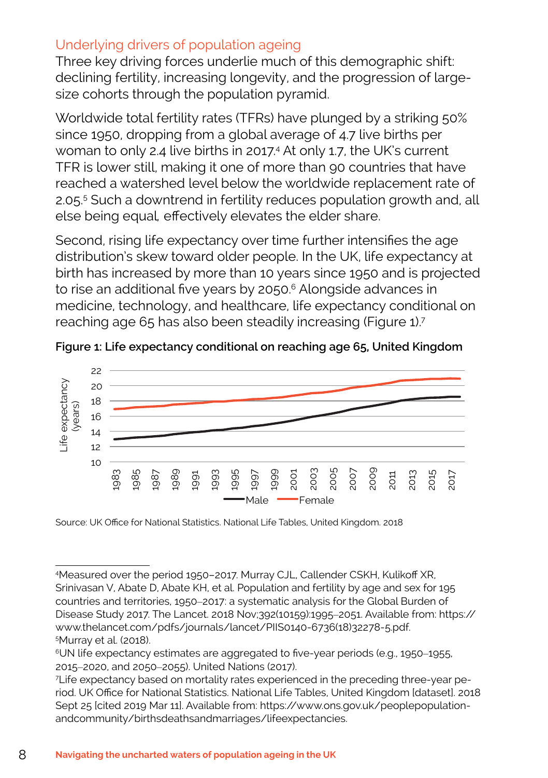#### Underlying drivers of population ageing

Three key driving forces underlie much of this demographic shift: declining fertility, increasing longevity, and the progression of largesize cohorts through the population pyramid.

Worldwide total fertility rates (TFRs) have plunged by a striking 50% since 1950, dropping from a global average of 4.7 live births per woman to only 2.4 live births in 2017.4 At only 1.7, the UK's current TFR is lower still, making it one of more than 90 countries that have reached a watershed level below the worldwide replacement rate of 2.05.5 Such a downtrend in fertility reduces population growth and, all else being equal*,* effectively elevates the elder share.

Second, rising life expectancy over time further intensifies the age distribution's skew toward older people. In the UK, life expectancy at birth has increased by more than 10 years since 1950 and is projected to rise an additional five years by 2050.<sup>6</sup> Alongside advances in medicine, technology, and healthcare, life expectancy conditional on reaching age 65 has also been steadily increasing (Figure 1).7



**Figure 1: Life expectancy conditional on reaching age 65, United Kingdom**

Source: UK Office for National Statistics. National Life Tables, United Kingdom. 2018

<sup>4</sup> Measured over the period 1950–2017. Murray CJL, Callender CSKH, Kulikoff XR, Srinivasan V, Abate D, Abate KH, et al. Population and fertility by age and sex for 195 countries and territories, 1950–2017: a systematic analysis for the Global Burden of Disease Study 2017. The Lancet. 2018 Nov;392(10159):1995–2051. Available from: https:// www.thelancet.com/pdfs/journals/lancet/PIIS0140-6736(18)32278-5.pdf. 5 Murray et al. (2018).

<sup>6</sup>UN life expectancy estimates are aggregated to five-year periods (e.g., 1950–1955, 2015–2020, and 2050–2055). United Nations (2017).

<sup>7</sup> Life expectancy based on mortality rates experienced in the preceding three-year period. UK Office for National Statistics. National Life Tables, United Kingdom [dataset]. 2018 Sept 25 [cited 2019 Mar 11]. Available from: https://www.ons.gov.uk/peoplepopulationandcommunity/birthsdeathsandmarriages/lifeexpectancies.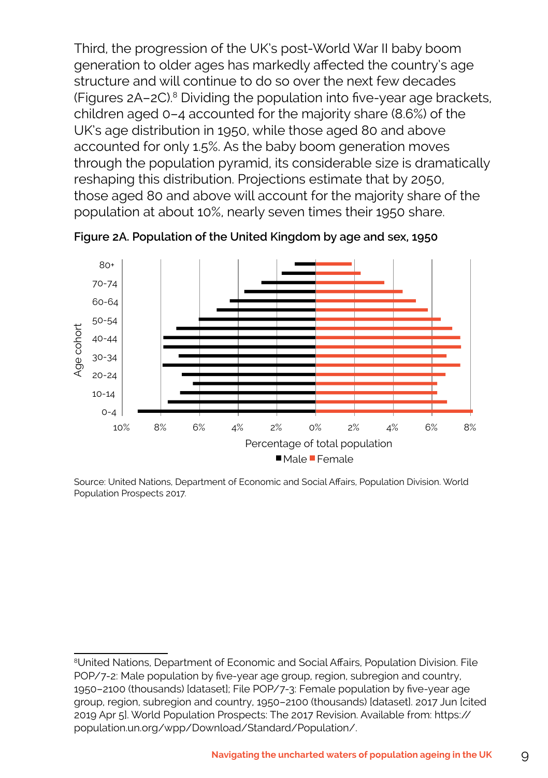Third, the progression of the UK's post-World War II baby boom generation to older ages has markedly affected the country's age structure and will continue to do so over the next few decades (Figures 2A–2C).8 Dividing the population into five-year age brackets, children aged 0–4 accounted for the majority share (8.6%) of the UK's age distribution in 1950, while those aged 80 and above accounted for only 1.5%. As the baby boom generation moves through the population pyramid, its considerable size is dramatically reshaping this distribution. Projections estimate that by 2050, those aged 80 and above will account for the majority share of the population at about 10%, nearly seven times their 1950 share.



**Figure 2A. Population of the United Kingdom by age and sex, 1950** 

Population Prospects 2017.<br>. Source: United Nations, Department of Economic and Social Affairs, Population Division. World

 $^{\rm 8}$ United Nations, Department of Economic and Social Affairs, Population Division. File POP/7-2: Male population by five-year age group, region, subregion and country, 1950–2100 (thousands) (dataset), me POP77-3. Ternate population by inve-year age<br>group, region, subregion and country, 1950–2100 (thousands) [dataset]. 2017 Jun [cited 1950–2100 (thousands) [dataset]; File POP/7-3: Female population by five-year age 2019 Apr 5]. World Population Prospects: The 2017 Revision. Available from: https:// population.un.org/wpp/Download/Standard/Population/.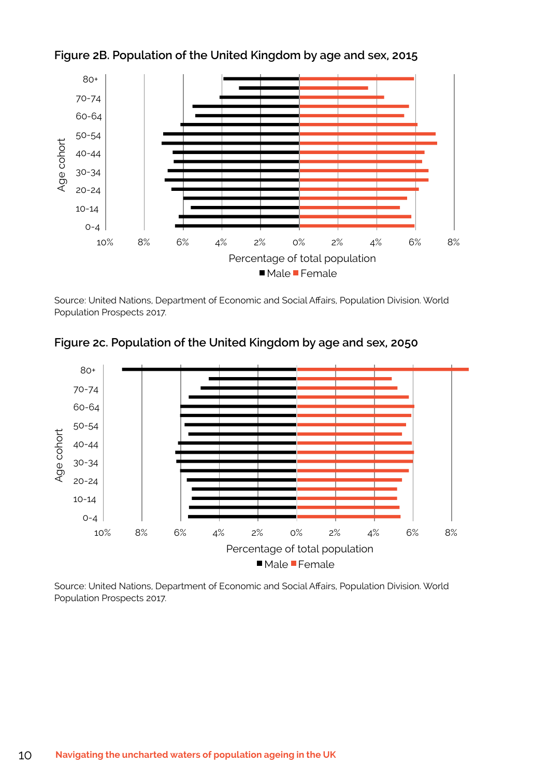

**Figure 2B. Population of the United Kingdom by age and sex, 2015**  10% 8% 6% 4% 2% 0% 2% 4% 6% 8% 10%

Population Prospects 2017.<br>. Source: United Nations, Department of Economic and Social Affairs, Population Division. World Percentage of total population

Figure 2c. Population of the United Kingdom by age and sex, 2050



Source: United Nations, Department of Economic and Social Affairs, Population Division. World Population Prospects 2017.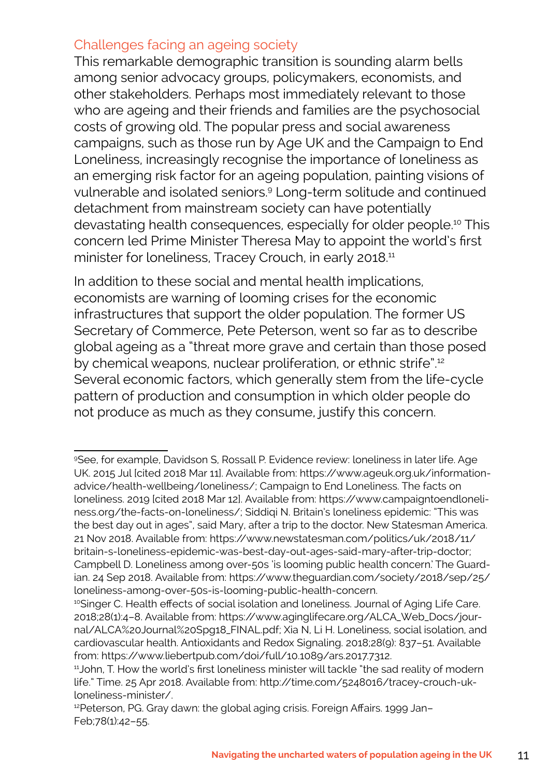#### Challenges facing an ageing society

This remarkable demographic transition is sounding alarm bells among senior advocacy groups, policymakers, economists, and other stakeholders. Perhaps most immediately relevant to those who are ageing and their friends and families are the psychosocial costs of growing old. The popular press and social awareness campaigns, such as those run by Age UK and the Campaign to End Loneliness, increasingly recognise the importance of loneliness as an emerging risk factor for an ageing population, painting visions of vulnerable and isolated seniors.9 Long-term solitude and continued detachment from mainstream society can have potentially devastating health consequences, especially for older people.10 This concern led Prime Minister Theresa May to appoint the world's first minister for loneliness, Tracey Crouch, in early 2018.<sup>11</sup>

In addition to these social and mental health implications, economists are warning of looming crises for the economic infrastructures that support the older population. The former US Secretary of Commerce, Pete Peterson, went so far as to describe global ageing as a "threat more grave and certain than those posed by chemical weapons, nuclear proliferation, or ethnic strife",<sup>12</sup> Several economic factors, which generally stem from the life-cycle pattern of production and consumption in which older people do not produce as much as they consume, justify this concern.

<sup>9</sup>See, for example, Davidson S, Rossall P. Evidence review: loneliness in later life. Age UK. 2015 Jul [cited 2018 Mar 11]. Available from: https://www.ageuk.org.uk/informationadvice/health-wellbeing/loneliness/; Campaign to End Loneliness. The facts on loneliness. 2019 [cited 2018 Mar 12]. Available from: https://www.campaigntoendloneliness.org/the-facts-on-loneliness/; Siddiqi N. Britain's loneliness epidemic: "This was the best day out in ages", said Mary, after a trip to the doctor. New Statesman America. 21 Nov 2018. Available from: https://www.newstatesman.com/politics/uk/2018/11/ britain-s-loneliness-epidemic-was-best-day-out-ages-said-mary-after-trip-doctor; Campbell D. Loneliness among over-50s 'is looming public health concern.' The Guardian. 24 Sep 2018. Available from: https://www.theguardian.com/society/2018/sep/25/ loneliness-among-over-50s-is-looming-public-health-concern.

<sup>&</sup>lt;sup>10</sup>Singer C. Health effects of social isolation and loneliness. Journal of Aging Life Care. 2018;28(1):4–8. Available from: https://www.aginglifecare.org/ALCA\_Web\_Docs/journal/ALCA%20Journal%20Spg18\_FINAL.pdf; Xia N, Li H. Loneliness, social isolation, and cardiovascular health. Antioxidants and Redox Signaling. 2018;28(9): 837–51. Available from: https://www.liebertpub.com/doi/full/10.1089/ars.2017.7312.

<sup>&</sup>lt;sup>11</sup>John, T. How the world's first loneliness minister will tackle "the sad reality of modern life." Time. 25 Apr 2018. Available from: http://time.com/5248016/tracey-crouch-ukloneliness-minister/.

<sup>12</sup>Peterson, PG. Gray dawn: the global aging crisis. Foreign Affairs. 1999 Jan-Feb;78(1):42–55.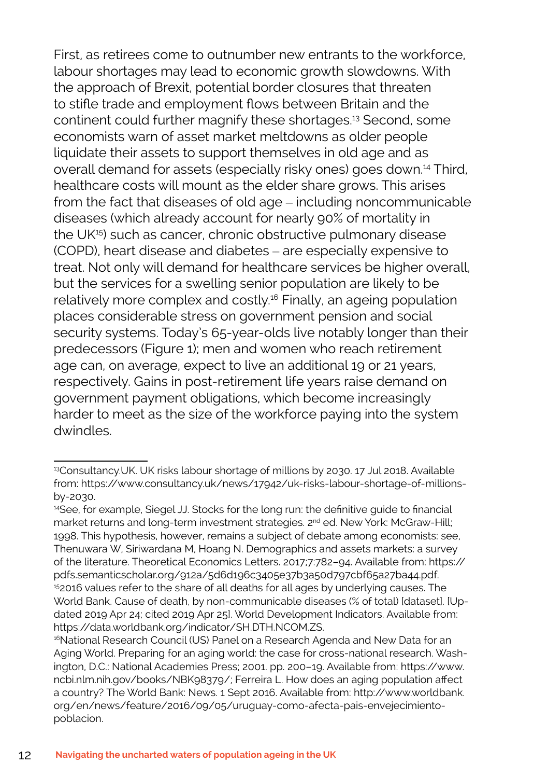First, as retirees come to outnumber new entrants to the workforce, labour shortages may lead to economic growth slowdowns. With the approach of Brexit, potential border closures that threaten to stifle trade and employment flows between Britain and the continent could further magnify these shortages.13 Second, some economists warn of asset market meltdowns as older people liquidate their assets to support themselves in old age and as overall demand for assets (especially risky ones) goes down.14 Third, healthcare costs will mount as the elder share grows. This arises from the fact that diseases of old age – including noncommunicable diseases (which already account for nearly 90% of mortality in the UK<sup>15</sup>) such as cancer, chronic obstructive pulmonary disease (COPD), heart disease and diabetes – are especially expensive to treat. Not only will demand for healthcare services be higher overall, but the services for a swelling senior population are likely to be relatively more complex and costly.16 Finally, an ageing population places considerable stress on government pension and social security systems. Today's 65-year-olds live notably longer than their predecessors (Figure 1); men and women who reach retirement age can, on average, expect to live an additional 19 or 21 years, respectively. Gains in post-retirement life years raise demand on government payment obligations, which become increasingly harder to meet as the size of the workforce paying into the system dwindles.

<sup>13</sup>Consultancy.UK. UK risks labour shortage of millions by 2030. 17 Jul 2018. Available from: https://www.consultancy.uk/news/17942/uk-risks-labour-shortage-of-millionsby-2030.

<sup>14</sup>See, for example, Siegel JJ. Stocks for the long run: the definitive guide to financial market returns and long-term investment strategies. 2<sup>nd</sup> ed. New York: McGraw-Hill; 1998. This hypothesis, however, remains a subject of debate among economists: see, Thenuwara W, Siriwardana M, Hoang N. Demographics and assets markets: a survey of the literature. Theoretical Economics Letters. 2017;7:782–94. Available from: https:// pdfs.semanticscholar.org/912a/5d6d196c3405e37b3a50d797cbf65a27ba44.pdf. <sup>15</sup>2016 values refer to the share of all deaths for all ages by underlying causes. The World Bank. Cause of death, by non-communicable diseases (% of total) [dataset]. [Updated 2019 Apr 24; cited 2019 Apr 25]. World Development Indicators. Available from: https://data.worldbank.org/indicator/SH.DTH.NCOM.ZS.

<sup>&</sup>lt;sup>16</sup>National Research Council (US) Panel on a Research Agenda and New Data for an Aging World. Preparing for an aging world: the case for cross-national research. Washington, D.C.: National Academies Press; 2001. pp. 200–19. Available from: https://www. ncbi.nlm.nih.gov/books/NBK98379/; Ferreira L. How does an aging population affect a country? The World Bank: News. 1 Sept 2016. Available from: http://www.worldbank. org/en/news/feature/2016/09/05/uruguay-como-afecta-pais-envejecimientopoblacion.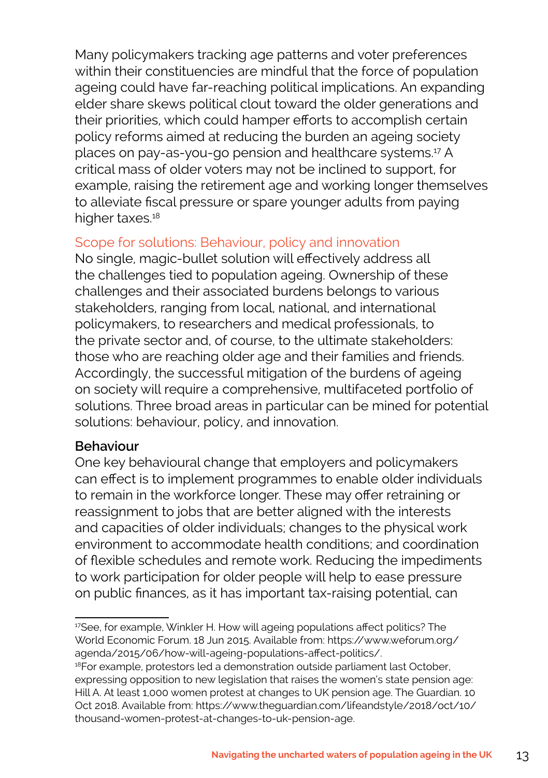Many policymakers tracking age patterns and voter preferences within their constituencies are mindful that the force of population ageing could have far-reaching political implications. An expanding elder share skews political clout toward the older generations and their priorities, which could hamper efforts to accomplish certain policy reforms aimed at reducing the burden an ageing society places on pay-as-you-go pension and healthcare systems.17 A critical mass of older voters may not be inclined to support, for example, raising the retirement age and working longer themselves to alleviate fiscal pressure or spare younger adults from paying higher taxes.<sup>18</sup>

#### Scope for solutions: Behaviour, policy and innovation

No single, magic-bullet solution will effectively address all the challenges tied to population ageing. Ownership of these challenges and their associated burdens belongs to various stakeholders, ranging from local, national, and international policymakers, to researchers and medical professionals, to the private sector and, of course, to the ultimate stakeholders: those who are reaching older age and their families and friends. Accordingly, the successful mitigation of the burdens of ageing on society will require a comprehensive, multifaceted portfolio of solutions. Three broad areas in particular can be mined for potential solutions: behaviour, policy, and innovation.

#### **Behaviour**

One key behavioural change that employers and policymakers can effect is to implement programmes to enable older individuals to remain in the workforce longer. These may offer retraining or reassignment to jobs that are better aligned with the interests and capacities of older individuals; changes to the physical work environment to accommodate health conditions; and coordination of flexible schedules and remote work. Reducing the impediments to work participation for older people will help to ease pressure on public finances, as it has important tax-raising potential, can

<sup>&</sup>lt;sup>17</sup>See, for example, Winkler H. How will ageing populations affect politics? The World Economic Forum. 18 Jun 2015. Available from: https://www.weforum.org/ agenda/2015/06/how-will-ageing-populations-affect-politics/.

<sup>&</sup>lt;sup>18</sup>For example, protestors led a demonstration outside parliament last October, expressing opposition to new legislation that raises the women's state pension age: Hill A. At least 1,000 women protest at changes to UK pension age. The Guardian. 10 Oct 2018. Available from: https://www.theguardian.com/lifeandstyle/2018/oct/10/ thousand-women-protest-at-changes-to-uk-pension-age.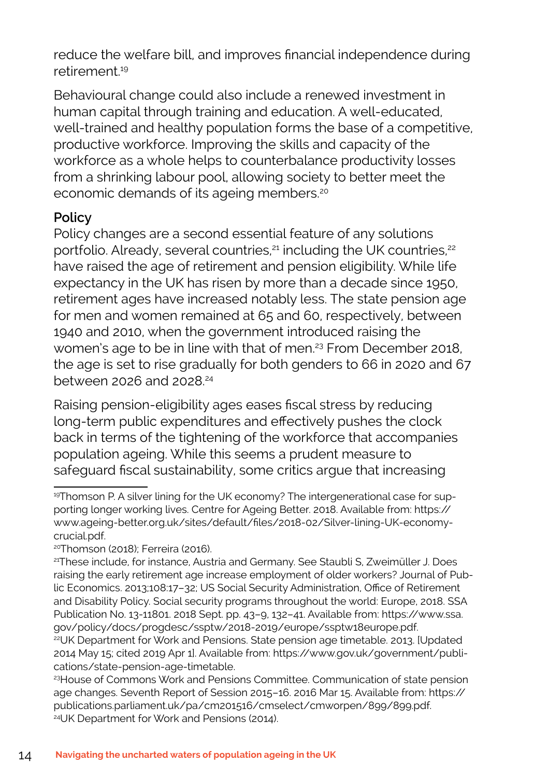reduce the welfare bill, and improves financial independence during retirement<sup>19</sup>

Behavioural change could also include a renewed investment in human capital through training and education. A well-educated, well-trained and healthy population forms the base of a competitive, productive workforce. Improving the skills and capacity of the workforce as a whole helps to counterbalance productivity losses from a shrinking labour pool, allowing society to better meet the economic demands of its ageing members.20

#### **Policy**

Policy changes are a second essential feature of any solutions portfolio. Already, several countries,<sup>21</sup> including the UK countries,<sup>22</sup> have raised the age of retirement and pension eligibility. While life expectancy in the UK has risen by more than a decade since 1950, retirement ages have increased notably less. The state pension age for men and women remained at 65 and 60, respectively, between 1940 and 2010, when the government introduced raising the women's age to be in line with that of men.<sup>23</sup> From December 2018, the age is set to rise gradually for both genders to 66 in 2020 and 67 between 2026 and 2028.<sup>24</sup>

Raising pension-eligibility ages eases fiscal stress by reducing long-term public expenditures and effectively pushes the clock back in terms of the tightening of the workforce that accompanies population ageing. While this seems a prudent measure to safeguard fiscal sustainability, some critics argue that increasing

<sup>19</sup>Thomson P. A silver lining for the UK economy? The intergenerational case for supporting longer working lives. Centre for Ageing Better. 2018. Available from: https:// www.ageing-better.org.uk/sites/default/files/2018-02/Silver-lining-UK-economycrucial.pdf.

<sup>20</sup>Thomson (2018); Ferreira (2016).

<sup>21</sup>These include, for instance, Austria and Germany. See Staubli S, Zweimüller J. Does raising the early retirement age increase employment of older workers? Journal of Public Economics. 2013;108:17–32; US Social Security Administration, Office of Retirement and Disability Policy. Social security programs throughout the world: Europe, 2018. SSA Publication No. 13-11801. 2018 Sept. pp. 43–9, 132–41. Available from: https://www.ssa. gov/policy/docs/progdesc/ssptw/2018-2019/europe/ssptw18europe.pdf.

<sup>&</sup>lt;sup>22</sup>UK Department for Work and Pensions. State pension age timetable. 2013. [Updated 2014 May 15; cited 2019 Apr 1]. Available from: https://www.gov.uk/government/publications/state-pension-age-timetable.

<sup>&</sup>lt;sup>23</sup> House of Commons Work and Pensions Committee. Communication of state pension age changes. Seventh Report of Session 2015–16. 2016 Mar 15. Available from: https:// publications.parliament.uk/pa/cm201516/cmselect/cmworpen/899/899.pdf. 24UK Department for Work and Pensions (2014).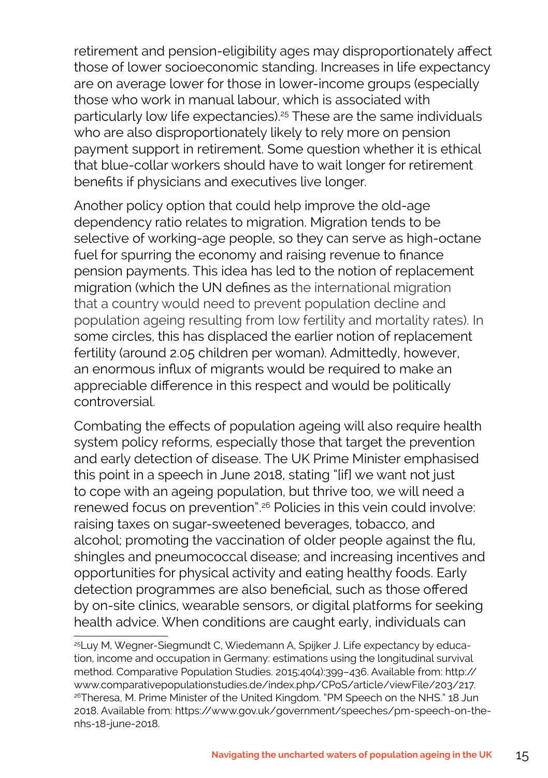retirement and pension-eligibility ages may disproportionately affect those of lower socioeconomic standing. Increases in life expectancy are on average lower for those in lower-income groups (especially those who work in manual labour, which is associated with particularly low life expectancies).25 These are the same individuals who are also disproportionately likely to rely more on pension payment support in retirement. Some question whether it is ethical that blue-collar workers should have to wait longer for retirement benefits if physicians and executives live longer.

Another policy option that could help improve the old-age dependency ratio relates to migration. Migration tends to be selective of working-age people, so they can serve as high-octane fuel for spurring the economy and raising revenue to finance pension payments. This idea has led to the notion of replacement migration (which the UN defines as the international migration that a country would need to prevent population decline and population ageing resulting from low fertility and mortality rates). In some circles, this has displaced the earlier notion of replacement fertility (around 2.05 children per woman). Admittedly, however, an enormous influx of migrants would be required to make an appreciable difference in this respect and would be politically controversial.

Combating the effects of population ageing will also require health system policy reforms, especially those that target the prevention and early detection of disease. The UK Prime Minister emphasised this point in a speech in June 2018, stating "[if] we want not just to cope with an ageing population, but thrive too, we will need a renewed focus on prevention".26 Policies in this vein could involve: raising taxes on sugar-sweetened beverages, tobacco, and alcohol; promoting the vaccination of older people against the flu, shingles and pneumococcal disease; and increasing incentives and opportunities for physical activity and eating healthy foods. Early detection programmes are also beneficial, such as those offered by on-site clinics, wearable sensors, or digital platforms for seeking health advice. When conditions are caught early, individuals can

<sup>&</sup>lt;sup>25</sup>Luy M, Wegner-Siegmundt C, Wiedemann A, Spijker J. Life expectancy by education, income and occupation in Germany: estimations using the longitudinal survival method. Comparative Population Studies. 2015;40(4):399–436. Available from: http:// www.comparativepopulationstudies.de/index.php/CPoS/article/viewFile/203/217. <sup>26</sup>Theresa, M. Prime Minister of the United Kingdom. "PM Speech on the NHS." 18 Jun 2018. Available from: https://www.gov.uk/government/speeches/pm-speech-on-thenhs-18-june-2018.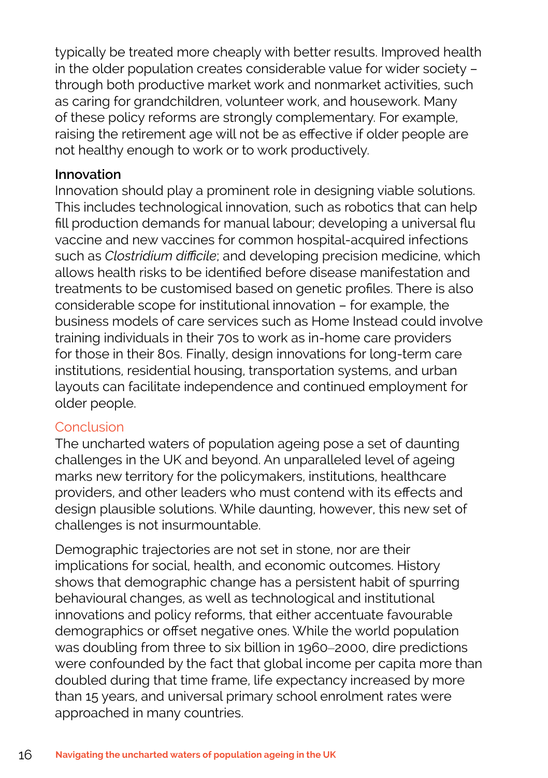typically be treated more cheaply with better results. Improved health in the older population creates considerable value for wider society – through both productive market work and nonmarket activities, such as caring for grandchildren, volunteer work, and housework. Many of these policy reforms are strongly complementary. For example, raising the retirement age will not be as effective if older people are not healthy enough to work or to work productively.

#### **Innovation**

Innovation should play a prominent role in designing viable solutions. This includes technological innovation, such as robotics that can help fill production demands for manual labour; developing a universal flu vaccine and new vaccines for common hospital-acquired infections such as *Clostridium difficile*; and developing precision medicine, which allows health risks to be identified before disease manifestation and treatments to be customised based on genetic profiles. There is also considerable scope for institutional innovation – for example, the business models of care services such as Home Instead could involve training individuals in their 70s to work as in-home care providers for those in their 80s. Finally, design innovations for long-term care institutions, residential housing, transportation systems, and urban layouts can facilitate independence and continued employment for older people.

#### Conclusion

The uncharted waters of population ageing pose a set of daunting challenges in the UK and beyond. An unparalleled level of ageing marks new territory for the policymakers, institutions, healthcare providers, and other leaders who must contend with its effects and design plausible solutions. While daunting, however, this new set of challenges is not insurmountable.

Demographic trajectories are not set in stone, nor are their implications for social, health, and economic outcomes. History shows that demographic change has a persistent habit of spurring behavioural changes, as well as technological and institutional innovations and policy reforms, that either accentuate favourable demographics or offset negative ones. While the world population was doubling from three to six billion in 1960–2000, dire predictions were confounded by the fact that global income per capita more than doubled during that time frame, life expectancy increased by more than 15 years, and universal primary school enrolment rates were approached in many countries.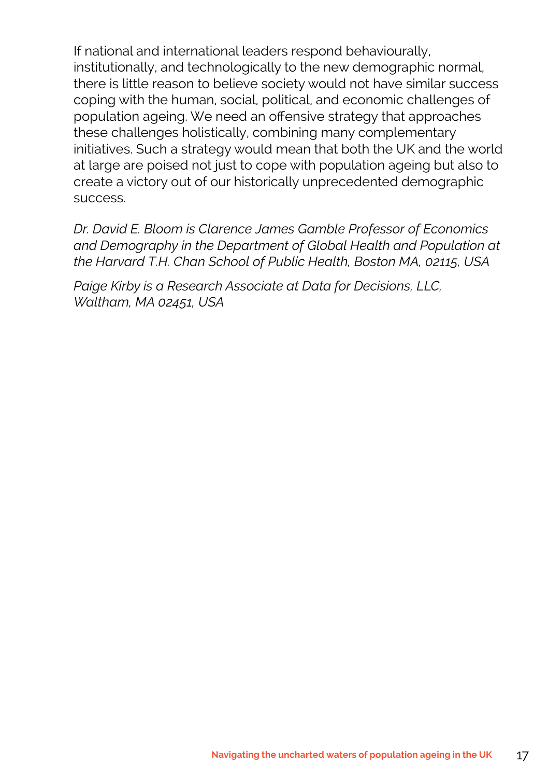If national and international leaders respond behaviourally, institutionally, and technologically to the new demographic normal, there is little reason to believe society would not have similar success coping with the human, social, political, and economic challenges of population ageing. We need an offensive strategy that approaches these challenges holistically, combining many complementary initiatives. Such a strategy would mean that both the UK and the world at large are poised not just to cope with population ageing but also to create a victory out of our historically unprecedented demographic success.

*Dr. David E. Bloom is Clarence James Gamble Professor of Economics and Demography in the Department of Global Health and Population at the Harvard T.H. Chan School of Public Health, Boston MA, 02115, USA*

*Paige Kirby is a Research Associate at Data for Decisions, LLC, Waltham, MA 02451, USA*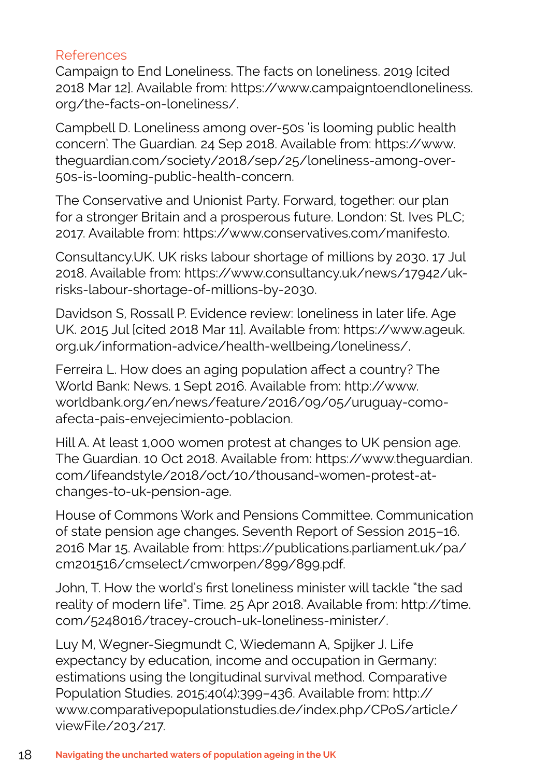#### References

Campaign to End Loneliness. The facts on loneliness. 2019 [cited 2018 Mar 12]. Available from: https://www.campaigntoendloneliness. org/the-facts-on-loneliness/.

Campbell D. Loneliness among over-50s 'is looming public health concern'. The Guardian. 24 Sep 2018. Available from: https://www. theguardian.com/society/2018/sep/25/loneliness-among-over-50s-is-looming-public-health-concern.

The Conservative and Unionist Party. Forward, together: our plan for a stronger Britain and a prosperous future. London: St. Ives PLC; 2017. Available from: https://www.conservatives.com/manifesto.

Consultancy.UK. UK risks labour shortage of millions by 2030. 17 Jul 2018. Available from: https://www.consultancy.uk/news/17942/ukrisks-labour-shortage-of-millions-by-2030.

Davidson S, Rossall P. Evidence review: loneliness in later life. Age UK. 2015 Jul [cited 2018 Mar 11]. Available from: https://www.ageuk. org.uk/information-advice/health-wellbeing/loneliness/.

Ferreira L. How does an aging population affect a country? The World Bank: News. 1 Sept 2016. Available from: http://www. worldbank.org/en/news/feature/2016/09/05/uruguay-comoafecta-pais-envejecimiento-poblacion.

Hill A. At least 1,000 women protest at changes to UK pension age. The Guardian. 10 Oct 2018. Available from: https://www.theguardian. com/lifeandstyle/2018/oct/10/thousand-women-protest-atchanges-to-uk-pension-age.

House of Commons Work and Pensions Committee. Communication of state pension age changes. Seventh Report of Session 2015–16. 2016 Mar 15. Available from: https://publications.parliament.uk/pa/ cm201516/cmselect/cmworpen/899/899.pdf.

John, T. How the world's first loneliness minister will tackle "the sad reality of modern life". Time. 25 Apr 2018. Available from: http://time. com/5248016/tracey-crouch-uk-loneliness-minister/.

Luy M, Wegner-Siegmundt C, Wiedemann A, Spijker J. Life expectancy by education, income and occupation in Germany: estimations using the longitudinal survival method. Comparative Population Studies. 2015;40(4):399–436. Available from: http:// www.comparativepopulationstudies.de/index.php/CPoS/article/ viewFile/203/217.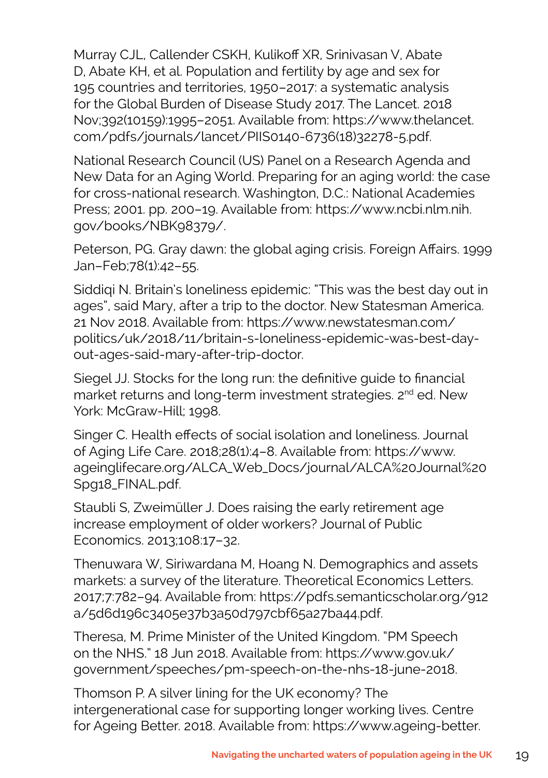Murray CJL, Callender CSKH, Kulikoff XR, Srinivasan V, Abate D, Abate KH, et al. Population and fertility by age and sex for 195 countries and territories, 1950–2017: a systematic analysis for the Global Burden of Disease Study 2017. The Lancet. 2018 Nov;392(10159):1995–2051. Available from: https://www.thelancet. com/pdfs/journals/lancet/PIIS0140-6736(18)32278-5.pdf.

National Research Council (US) Panel on a Research Agenda and New Data for an Aging World. Preparing for an aging world: the case for cross-national research. Washington, D.C.: National Academies Press; 2001. pp. 200–19. Available from: https://www.ncbi.nlm.nih. gov/books/NBK98379/.

Peterson, PG. Gray dawn: the global aging crisis. Foreign Affairs. 1999 Jan–Feb;78(1):42–55.

Siddiqi N. Britain's loneliness epidemic: "This was the best day out in ages", said Mary, after a trip to the doctor. New Statesman America. 21 Nov 2018. Available from: https://www.newstatesman.com/ politics/uk/2018/11/britain-s-loneliness-epidemic-was-best-dayout-ages-said-mary-after-trip-doctor.

Siegel JJ. Stocks for the long run: the definitive guide to financial market returns and long-term investment strategies. 2<sup>nd</sup> ed. New York: McGraw-Hill; 1998.

Singer C. Health effects of social isolation and loneliness. Journal of Aging Life Care. 2018;28(1):4–8. Available from: https://www. ageinglifecare.org/ALCA\_Web\_Docs/journal/ALCA%20Journal%20 Spg18\_FINAL.pdf.

Staubli S, Zweimüller J. Does raising the early retirement age increase employment of older workers? Journal of Public Economics. 2013;108:17–32.

Thenuwara W, Siriwardana M, Hoang N. Demographics and assets markets: a survey of the literature. Theoretical Economics Letters. 2017;7:782–94. Available from: https://pdfs.semanticscholar.org/912 a/5d6d196c3405e37b3a50d797cbf65a27ba44.pdf.

Theresa, M. Prime Minister of the United Kingdom. "PM Speech on the NHS." 18 Jun 2018. Available from: https://www.gov.uk/ government/speeches/pm-speech-on-the-nhs-18-june-2018.

Thomson P. A silver lining for the UK economy? The intergenerational case for supporting longer working lives. Centre for Ageing Better. 2018. Available from: https://www.ageing-better.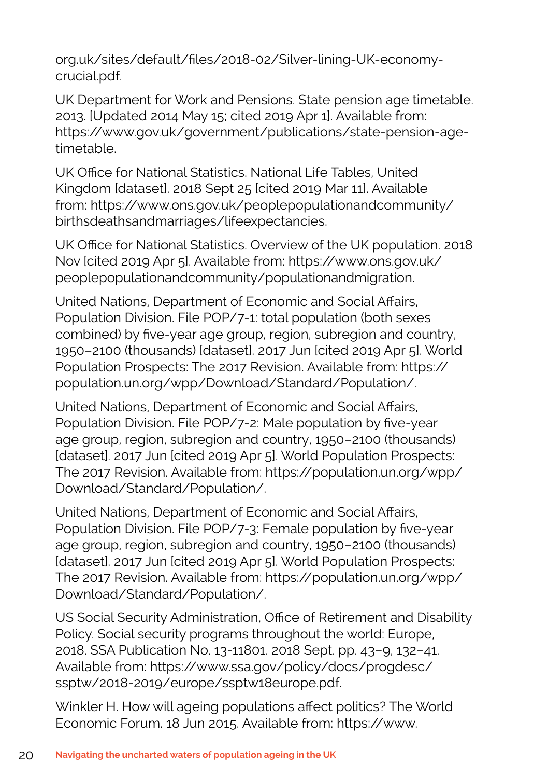org.uk/sites/default/files/2018-02/Silver-lining-UK-economycrucial.pdf.

UK Department for Work and Pensions. State pension age timetable. 2013. [Updated 2014 May 15; cited 2019 Apr 1]. Available from: https://www.gov.uk/government/publications/state-pension-agetimetable.

UK Office for National Statistics. National Life Tables, United Kingdom [dataset]. 2018 Sept 25 [cited 2019 Mar 11]. Available from: https://www.ons.gov.uk/peoplepopulationandcommunity/ birthsdeathsandmarriages/lifeexpectancies.

UK Office for National Statistics. Overview of the UK population. 2018 Nov [cited 2019 Apr 5]. Available from: https://www.ons.gov.uk/ peoplepopulationandcommunity/populationandmigration.

United Nations, Department of Economic and Social Affairs, Population Division. File POP/7-1: total population (both sexes combined) by five-year age group, region, subregion and country, 1950–2100 (thousands) [dataset]. 2017 Jun [cited 2019 Apr 5]. World Population Prospects: The 2017 Revision. Available from: https:// population.un.org/wpp/Download/Standard/Population/.

United Nations, Department of Economic and Social Affairs, Population Division. File POP/7-2: Male population by five-year age group, region, subregion and country, 1950–2100 (thousands) [dataset]. 2017 Jun [cited 2019 Apr 5]. World Population Prospects: The 2017 Revision. Available from: https://population.un.org/wpp/ Download/Standard/Population/.

United Nations, Department of Economic and Social Affairs, Population Division. File POP/7-3: Female population by five-year age group, region, subregion and country, 1950–2100 (thousands) [dataset]. 2017 Jun [cited 2019 Apr 5]. World Population Prospects: The 2017 Revision. Available from: https://population.un.org/wpp/ Download/Standard/Population/.

US Social Security Administration, Office of Retirement and Disability Policy. Social security programs throughout the world: Europe, 2018. SSA Publication No. 13-11801. 2018 Sept. pp. 43–9, 132–41. Available from: https://www.ssa.gov/policy/docs/progdesc/ ssptw/2018-2019/europe/ssptw18europe.pdf.

Winkler H. How will ageing populations affect politics? The World Economic Forum. 18 Jun 2015. Available from: https://www.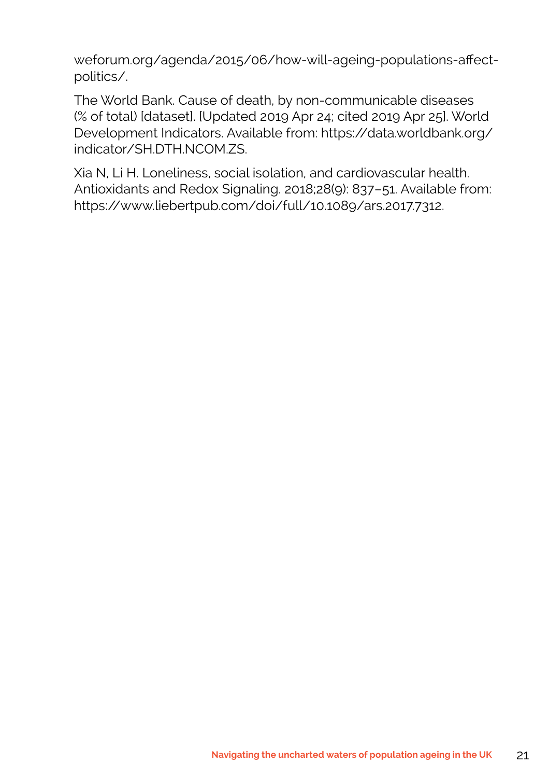weforum.org/agenda/2015/06/how-will-ageing-populations-affectpolitics/.

The World Bank. Cause of death, by non-communicable diseases (% of total) [dataset]. [Updated 2019 Apr 24; cited 2019 Apr 25]. World Development Indicators. Available from: https://data.worldbank.org/ indicator/SH.DTH.NCOM.ZS.

Xia N, Li H. Loneliness, social isolation, and cardiovascular health. Antioxidants and Redox Signaling. 2018;28(9): 837–51. Available from: https://www.liebertpub.com/doi/full/10.1089/ars.2017.7312.